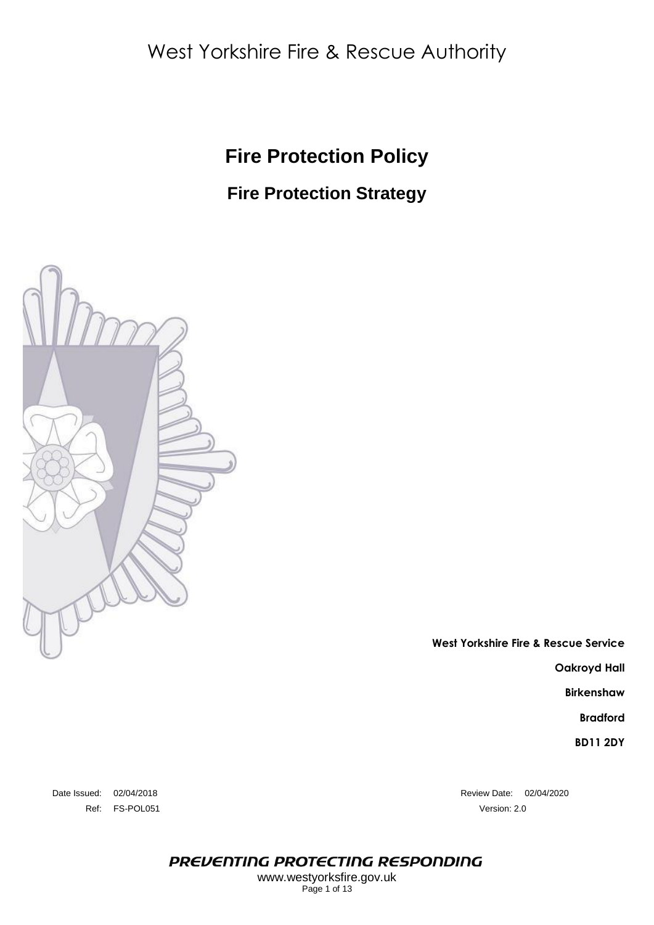# West Yorkshire Fire & Rescue Authority

## **Fire Protection Policy**

## **Fire Protection Strategy**



**West Yorkshire Fire & Rescue Service Oakroyd Hall**

**Birkenshaw**

**Bradford**

**BD11 2DY**

Ref: FS-POL051 Version: 2.0

Date Issued: 02/04/2018 Review Date: 02/04/2020

PREVENTING PROTECTING RESPONDING

www.westyorksfire.gov.uk Page 1 of 13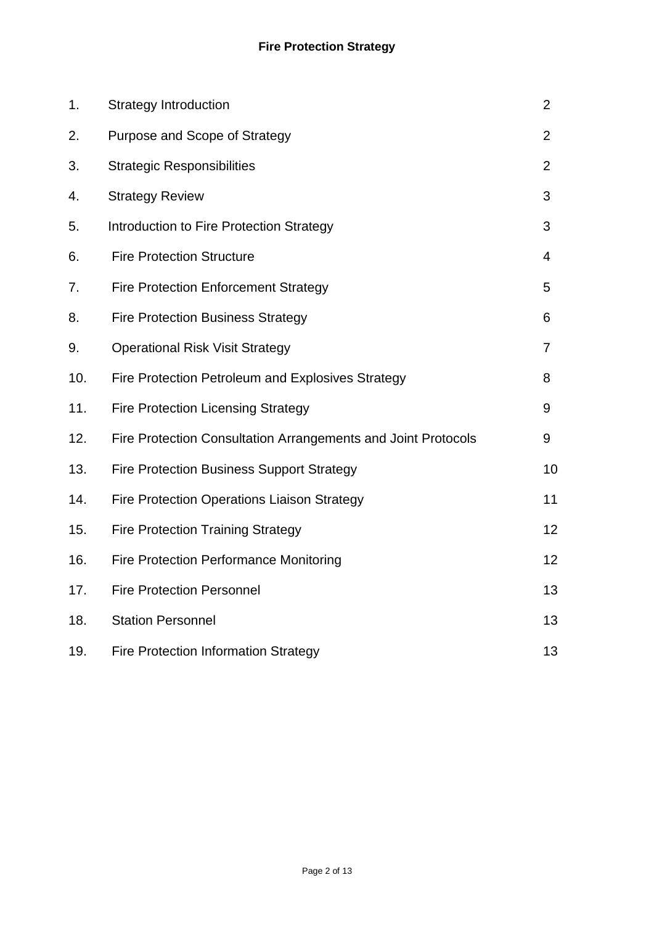| 1.  | <b>Strategy Introduction</b>                                  | $\overline{2}$ |
|-----|---------------------------------------------------------------|----------------|
| 2.  | Purpose and Scope of Strategy                                 | 2              |
| 3.  | <b>Strategic Responsibilities</b>                             | 2              |
| 4.  | <b>Strategy Review</b>                                        | 3              |
| 5.  | Introduction to Fire Protection Strategy                      | 3              |
| 6.  | <b>Fire Protection Structure</b>                              | $\overline{4}$ |
| 7.  | <b>Fire Protection Enforcement Strategy</b>                   | 5              |
| 8.  | <b>Fire Protection Business Strategy</b>                      | 6              |
| 9.  | <b>Operational Risk Visit Strategy</b>                        | 7              |
| 10. | Fire Protection Petroleum and Explosives Strategy             | 8              |
| 11. | <b>Fire Protection Licensing Strategy</b>                     | 9              |
| 12. | Fire Protection Consultation Arrangements and Joint Protocols | 9              |
| 13. | <b>Fire Protection Business Support Strategy</b>              | 10             |
| 14. | <b>Fire Protection Operations Liaison Strategy</b>            | 11             |
| 15. | <b>Fire Protection Training Strategy</b>                      | 12             |
| 16. | <b>Fire Protection Performance Monitoring</b>                 | 12             |
| 17. | <b>Fire Protection Personnel</b>                              | 13             |
| 18. | <b>Station Personnel</b>                                      | 13             |
| 19. | <b>Fire Protection Information Strategy</b>                   | 13             |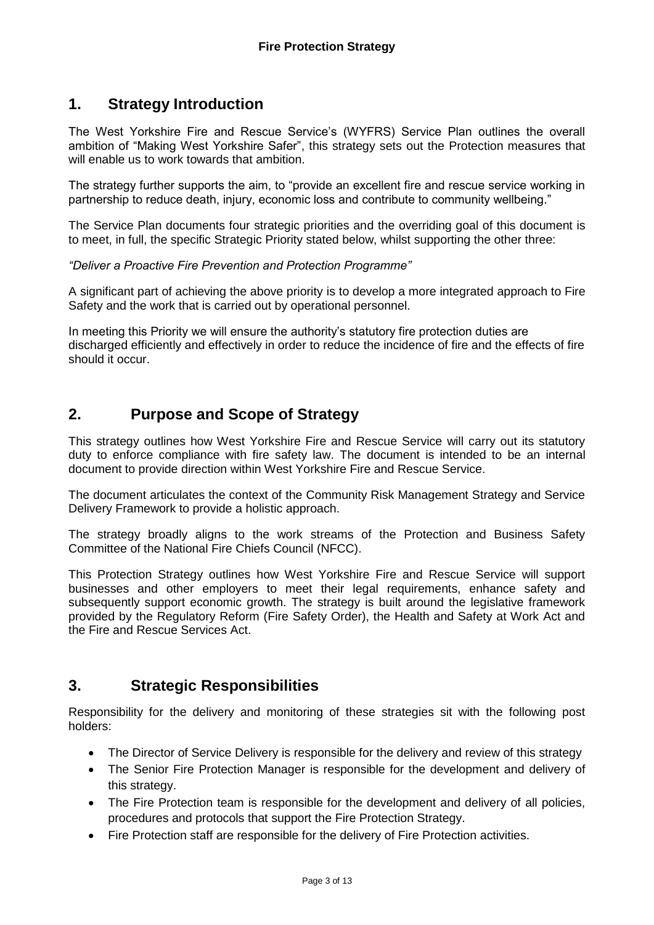## **1. Strategy Introduction**

The West Yorkshire Fire and Rescue Service's (WYFRS) Service Plan outlines the overall ambition of "Making West Yorkshire Safer", this strategy sets out the Protection measures that will enable us to work towards that ambition.

The strategy further supports the aim, to "provide an excellent fire and rescue service working in partnership to reduce death, injury, economic loss and contribute to community wellbeing."

The Service Plan documents four strategic priorities and the overriding goal of this document is to meet, in full, the specific Strategic Priority stated below, whilst supporting the other three:

#### *"Deliver a Proactive Fire Prevention and Protection Programme"*

A significant part of achieving the above priority is to develop a more integrated approach to Fire Safety and the work that is carried out by operational personnel.

In meeting this Priority we will ensure the authority's statutory fire protection duties are discharged efficiently and effectively in order to reduce the incidence of fire and the effects of fire should it occur.

## **2. Purpose and Scope of Strategy**

This strategy outlines how West Yorkshire Fire and Rescue Service will carry out its statutory duty to enforce compliance with fire safety law. The document is intended to be an internal document to provide direction within West Yorkshire Fire and Rescue Service.

The document articulates the context of the Community Risk Management Strategy and Service Delivery Framework to provide a holistic approach.

The strategy broadly aligns to the work streams of the Protection and Business Safety Committee of the National Fire Chiefs Council (NFCC).

This Protection Strategy outlines how West Yorkshire Fire and Rescue Service will support businesses and other employers to meet their legal requirements, enhance safety and subsequently support economic growth. The strategy is built around the legislative framework provided by the Regulatory Reform (Fire Safety Order), the Health and Safety at Work Act and the Fire and Rescue Services Act.

## **3. Strategic Responsibilities**

Responsibility for the delivery and monitoring of these strategies sit with the following post holders:

- The Director of Service Delivery is responsible for the delivery and review of this strategy
- The Senior Fire Protection Manager is responsible for the development and delivery of this strategy.
- The Fire Protection team is responsible for the development and delivery of all policies, procedures and protocols that support the Fire Protection Strategy.
- Fire Protection staff are responsible for the delivery of Fire Protection activities.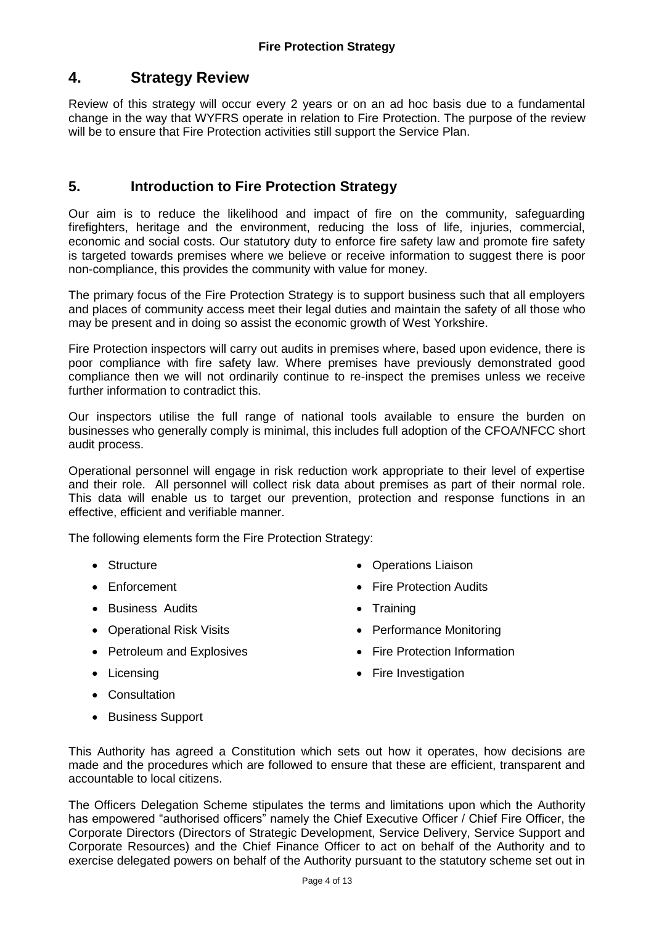## **4. Strategy Review**

Review of this strategy will occur every 2 years or on an ad hoc basis due to a fundamental change in the way that WYFRS operate in relation to Fire Protection. The purpose of the review will be to ensure that Fire Protection activities still support the Service Plan.

#### **5. Introduction to Fire Protection Strategy**

Our aim is to reduce the likelihood and impact of fire on the community, safeguarding firefighters, heritage and the environment, reducing the loss of life, injuries, commercial, economic and social costs. Our statutory duty to enforce fire safety law and promote fire safety is targeted towards premises where we believe or receive information to suggest there is poor non-compliance, this provides the community with value for money.

The primary focus of the Fire Protection Strategy is to support business such that all employers and places of community access meet their legal duties and maintain the safety of all those who may be present and in doing so assist the economic growth of West Yorkshire.

Fire Protection inspectors will carry out audits in premises where, based upon evidence, there is poor compliance with fire safety law. Where premises have previously demonstrated good compliance then we will not ordinarily continue to re-inspect the premises unless we receive further information to contradict this.

Our inspectors utilise the full range of national tools available to ensure the burden on businesses who generally comply is minimal, this includes full adoption of the CFOA/NFCC short audit process.

Operational personnel will engage in risk reduction work appropriate to their level of expertise and their role. All personnel will collect risk data about premises as part of their normal role. This data will enable us to target our prevention, protection and response functions in an effective, efficient and verifiable manner.

The following elements form the Fire Protection Strategy:

- Structure
- Enforcement
- **•** Business Audits
- Operational Risk Visits
- Petroleum and Explosives
- Licensing
- Consultation
- Business Support
- Operations Liaison
- **•** Fire Protection Audits
- Training
- Performance Monitoring
- Fire Protection Information
- Fire Investigation
- This Authority has agreed a Constitution which sets out how it operates, how decisions are made and the procedures which are followed to ensure that these are efficient, transparent and accountable to local citizens.

The Officers Delegation Scheme stipulates the terms and limitations upon which the Authority has empowered "authorised officers" namely the Chief Executive Officer / Chief Fire Officer, the Corporate Directors (Directors of Strategic Development, Service Delivery, Service Support and Corporate Resources) and the Chief Finance Officer to act on behalf of the Authority and to exercise delegated powers on behalf of the Authority pursuant to the statutory scheme set out in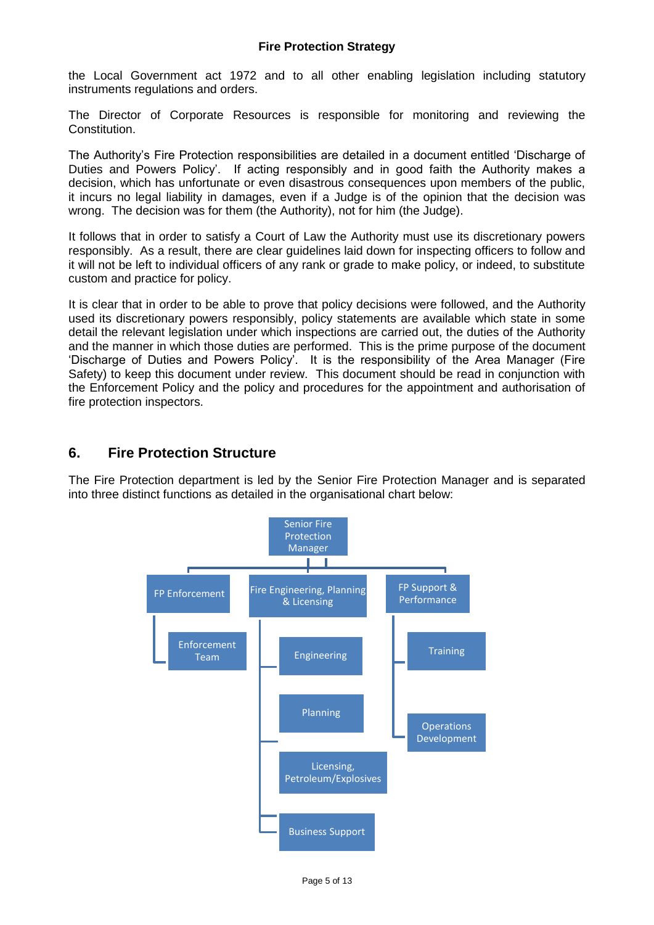the Local Government act 1972 and to all other enabling legislation including statutory instruments regulations and orders.

The Director of Corporate Resources is responsible for monitoring and reviewing the Constitution.

The Authority's Fire Protection responsibilities are detailed in a document entitled 'Discharge of Duties and Powers Policy'. If acting responsibly and in good faith the Authority makes a decision, which has unfortunate or even disastrous consequences upon members of the public, it incurs no legal liability in damages, even if a Judge is of the opinion that the decision was wrong. The decision was for them (the Authority), not for him (the Judge).

It follows that in order to satisfy a Court of Law the Authority must use its discretionary powers responsibly. As a result, there are clear guidelines laid down for inspecting officers to follow and it will not be left to individual officers of any rank or grade to make policy, or indeed, to substitute custom and practice for policy.

It is clear that in order to be able to prove that policy decisions were followed, and the Authority used its discretionary powers responsibly, policy statements are available which state in some detail the relevant legislation under which inspections are carried out, the duties of the Authority and the manner in which those duties are performed. This is the prime purpose of the document 'Discharge of Duties and Powers Policy'. It is the responsibility of the Area Manager (Fire Safety) to keep this document under review. This document should be read in conjunction with the Enforcement Policy and the policy and procedures for the appointment and authorisation of fire protection inspectors.

### **6. Fire Protection Structure**

The Fire Protection department is led by the Senior Fire Protection Manager and is separated into three distinct functions as detailed in the organisational chart below:

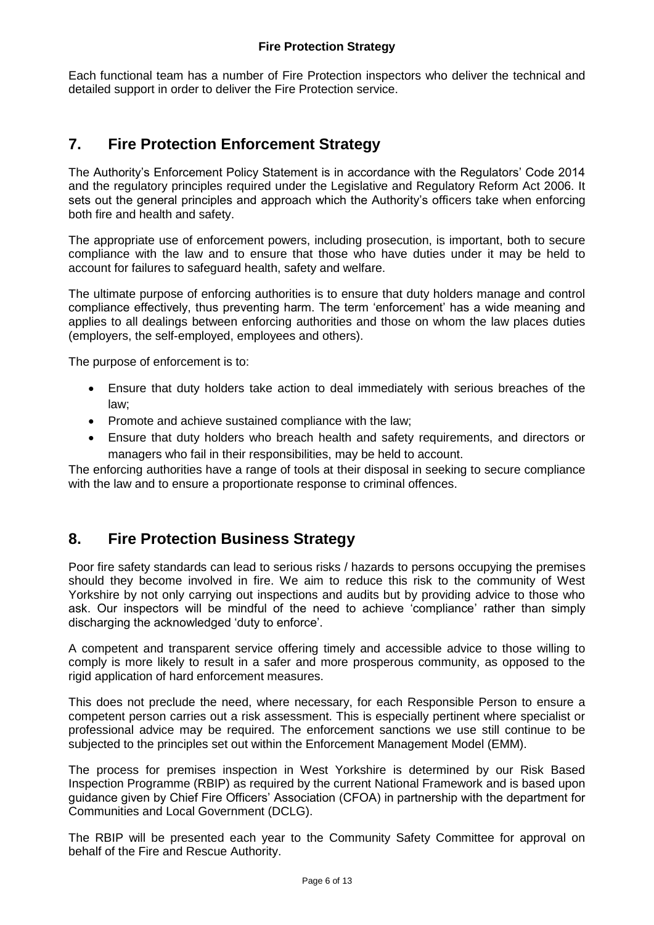Each functional team has a number of Fire Protection inspectors who deliver the technical and detailed support in order to deliver the Fire Protection service.

## **7. Fire Protection Enforcement Strategy**

The Authority's Enforcement Policy Statement is in accordance with the Regulators' Code 2014 and the regulatory principles required under the Legislative and Regulatory Reform Act 2006. It sets out the general principles and approach which the Authority's officers take when enforcing both fire and health and safety.

The appropriate use of enforcement powers, including prosecution, is important, both to secure compliance with the law and to ensure that those who have duties under it may be held to account for failures to safeguard health, safety and welfare.

The ultimate purpose of enforcing authorities is to ensure that duty holders manage and control compliance effectively, thus preventing harm. The term 'enforcement' has a wide meaning and applies to all dealings between enforcing authorities and those on whom the law places duties (employers, the self-employed, employees and others).

The purpose of enforcement is to:

- Ensure that duty holders take action to deal immediately with serious breaches of the law;
- Promote and achieve sustained compliance with the law;
- Ensure that duty holders who breach health and safety requirements, and directors or managers who fail in their responsibilities, may be held to account.

The enforcing authorities have a range of tools at their disposal in seeking to secure compliance with the law and to ensure a proportionate response to criminal offences.

## **8. Fire Protection Business Strategy**

Poor fire safety standards can lead to serious risks / hazards to persons occupying the premises should they become involved in fire. We aim to reduce this risk to the community of West Yorkshire by not only carrying out inspections and audits but by providing advice to those who ask. Our inspectors will be mindful of the need to achieve 'compliance' rather than simply discharging the acknowledged 'duty to enforce'.

A competent and transparent service offering timely and accessible advice to those willing to comply is more likely to result in a safer and more prosperous community, as opposed to the rigid application of hard enforcement measures.

This does not preclude the need, where necessary, for each Responsible Person to ensure a competent person carries out a risk assessment. This is especially pertinent where specialist or professional advice may be required. The enforcement sanctions we use still continue to be subjected to the principles set out within the Enforcement Management Model (EMM).

The process for premises inspection in West Yorkshire is determined by our Risk Based Inspection Programme (RBIP) as required by the current National Framework and is based upon guidance given by Chief Fire Officers' Association (CFOA) in partnership with the department for Communities and Local Government (DCLG).

The RBIP will be presented each year to the Community Safety Committee for approval on behalf of the Fire and Rescue Authority.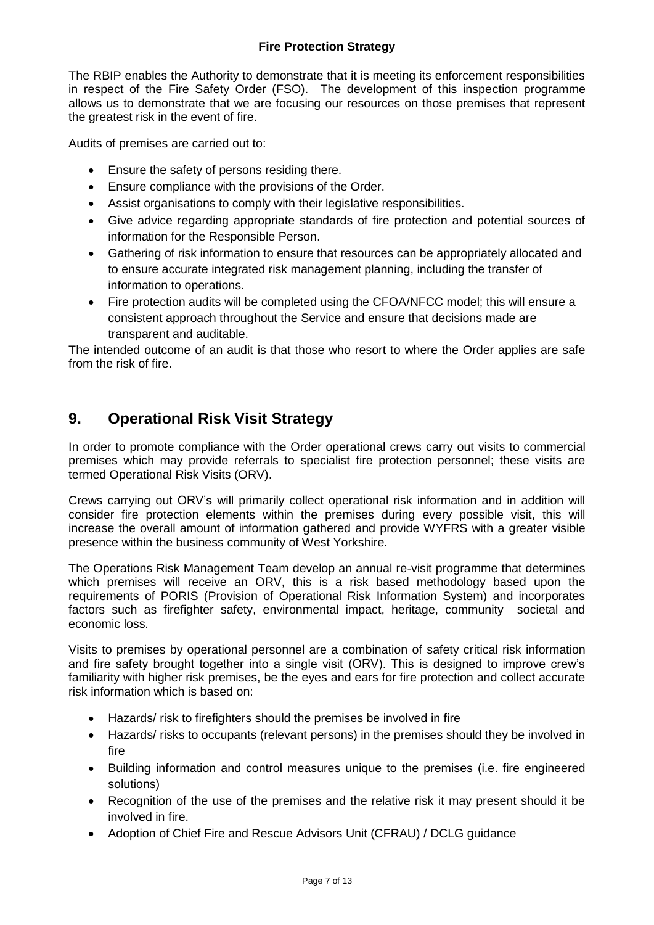The RBIP enables the Authority to demonstrate that it is meeting its enforcement responsibilities in respect of the Fire Safety Order (FSO). The development of this inspection programme allows us to demonstrate that we are focusing our resources on those premises that represent the greatest risk in the event of fire.

Audits of premises are carried out to:

- Ensure the safety of persons residing there.
- Ensure compliance with the provisions of the Order.
- Assist organisations to comply with their legislative responsibilities.
- Give advice regarding appropriate standards of fire protection and potential sources of information for the Responsible Person.
- Gathering of risk information to ensure that resources can be appropriately allocated and to ensure accurate integrated risk management planning, including the transfer of information to operations.
- Fire protection audits will be completed using the CFOA/NFCC model; this will ensure a consistent approach throughout the Service and ensure that decisions made are transparent and auditable.

The intended outcome of an audit is that those who resort to where the Order applies are safe from the risk of fire.

## **9. Operational Risk Visit Strategy**

In order to promote compliance with the Order operational crews carry out visits to commercial premises which may provide referrals to specialist fire protection personnel; these visits are termed Operational Risk Visits (ORV).

Crews carrying out ORV's will primarily collect operational risk information and in addition will consider fire protection elements within the premises during every possible visit, this will increase the overall amount of information gathered and provide WYFRS with a greater visible presence within the business community of West Yorkshire.

The Operations Risk Management Team develop an annual re-visit programme that determines which premises will receive an ORV, this is a risk based methodology based upon the requirements of PORIS (Provision of Operational Risk Information System) and incorporates factors such as firefighter safety, environmental impact, heritage, community societal and economic loss.

Visits to premises by operational personnel are a combination of safety critical risk information and fire safety brought together into a single visit (ORV). This is designed to improve crew's familiarity with higher risk premises, be the eyes and ears for fire protection and collect accurate risk information which is based on:

- Hazards/ risk to firefighters should the premises be involved in fire
- Hazards/ risks to occupants (relevant persons) in the premises should they be involved in fire
- Building information and control measures unique to the premises (i.e. fire engineered solutions)
- Recognition of the use of the premises and the relative risk it may present should it be involved in fire.
- Adoption of Chief Fire and Rescue Advisors Unit (CFRAU) / DCLG guidance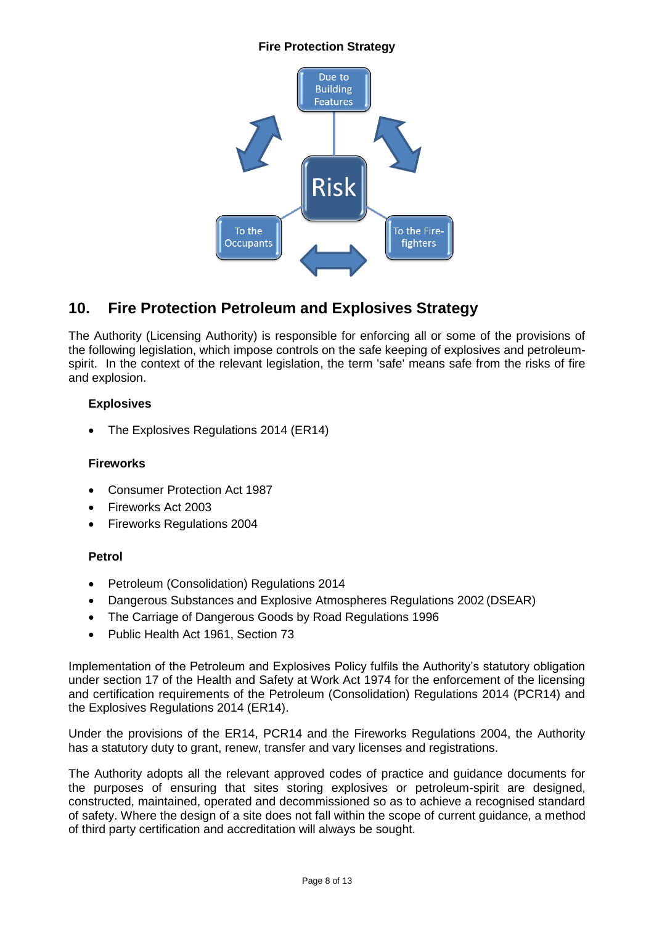#### **Fire Protection Strategy**



## **10. Fire Protection Petroleum and Explosives Strategy**

The Authority (Licensing Authority) is responsible for enforcing all or some of the provisions of the following legislation, which impose controls on the safe keeping of explosives and petroleumspirit. In the context of the relevant legislation, the term 'safe' means safe from the risks of fire and explosion.

#### **Explosives**

The Explosives Regulations 2014 (ER14)

#### **Fireworks**

- Consumer Protection Act 1987
- Fireworks Act 2003
- Fireworks Regulations 2004

#### **Petrol**

- Petroleum (Consolidation) Regulations 2014
- Dangerous Substances and Explosive Atmospheres Regulations 2002 (DSEAR)
- The Carriage of Dangerous Goods by Road Regulations 1996
- Public Health Act 1961, Section 73

Implementation of the Petroleum and Explosives Policy fulfils the Authority's statutory obligation under section 17 of the Health and Safety at Work Act 1974 for the enforcement of the licensing and certification requirements of the Petroleum (Consolidation) Regulations 2014 (PCR14) and the Explosives Regulations 2014 (ER14).

Under the provisions of the ER14, PCR14 and the Fireworks Regulations 2004, the Authority has a statutory duty to grant, renew, transfer and vary licenses and registrations.

The Authority adopts all the relevant approved codes of practice and guidance documents for the purposes of ensuring that sites storing explosives or petroleum-spirit are designed, constructed, maintained, operated and decommissioned so as to achieve a recognised standard of safety. Where the design of a site does not fall within the scope of current guidance, a method of third party certification and accreditation will always be sought.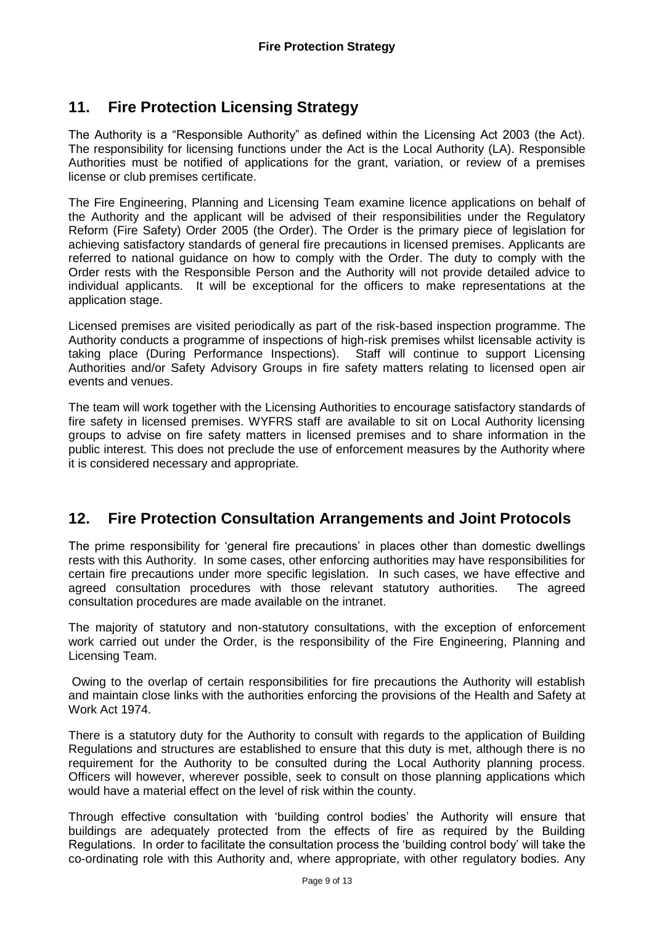## **11. Fire Protection Licensing Strategy**

The Authority is a "Responsible Authority" as defined within the Licensing Act 2003 (the Act). The responsibility for licensing functions under the Act is the Local Authority (LA). Responsible Authorities must be notified of applications for the grant, variation, or review of a premises license or club premises certificate.

The Fire Engineering, Planning and Licensing Team examine licence applications on behalf of the Authority and the applicant will be advised of their responsibilities under the Regulatory Reform (Fire Safety) Order 2005 (the Order). The Order is the primary piece of legislation for achieving satisfactory standards of general fire precautions in licensed premises. Applicants are referred to national guidance on how to comply with the Order. The duty to comply with the Order rests with the Responsible Person and the Authority will not provide detailed advice to individual applicants. It will be exceptional for the officers to make representations at the application stage.

Licensed premises are visited periodically as part of the risk-based inspection programme. The Authority conducts a programme of inspections of high-risk premises whilst licensable activity is taking place (During Performance Inspections). Staff will continue to support Licensing Authorities and/or Safety Advisory Groups in fire safety matters relating to licensed open air events and venues.

The team will work together with the Licensing Authorities to encourage satisfactory standards of fire safety in licensed premises. WYFRS staff are available to sit on Local Authority licensing groups to advise on fire safety matters in licensed premises and to share information in the public interest. This does not preclude the use of enforcement measures by the Authority where it is considered necessary and appropriate.

## **12. Fire Protection Consultation Arrangements and Joint Protocols**

The prime responsibility for 'general fire precautions' in places other than domestic dwellings rests with this Authority. In some cases, other enforcing authorities may have responsibilities for certain fire precautions under more specific legislation. In such cases, we have effective and agreed consultation procedures with those relevant statutory authorities. The agreed consultation procedures are made available on the intranet.

The majority of statutory and non-statutory consultations, with the exception of enforcement work carried out under the Order, is the responsibility of the Fire Engineering, Planning and Licensing Team.

Owing to the overlap of certain responsibilities for fire precautions the Authority will establish and maintain close links with the authorities enforcing the provisions of the Health and Safety at Work Act 1974.

There is a statutory duty for the Authority to consult with regards to the application of Building Regulations and structures are established to ensure that this duty is met, although there is no requirement for the Authority to be consulted during the Local Authority planning process. Officers will however, wherever possible, seek to consult on those planning applications which would have a material effect on the level of risk within the county.

Through effective consultation with 'building control bodies' the Authority will ensure that buildings are adequately protected from the effects of fire as required by the Building Regulations. In order to facilitate the consultation process the 'building control body' will take the co-ordinating role with this Authority and, where appropriate, with other regulatory bodies. Any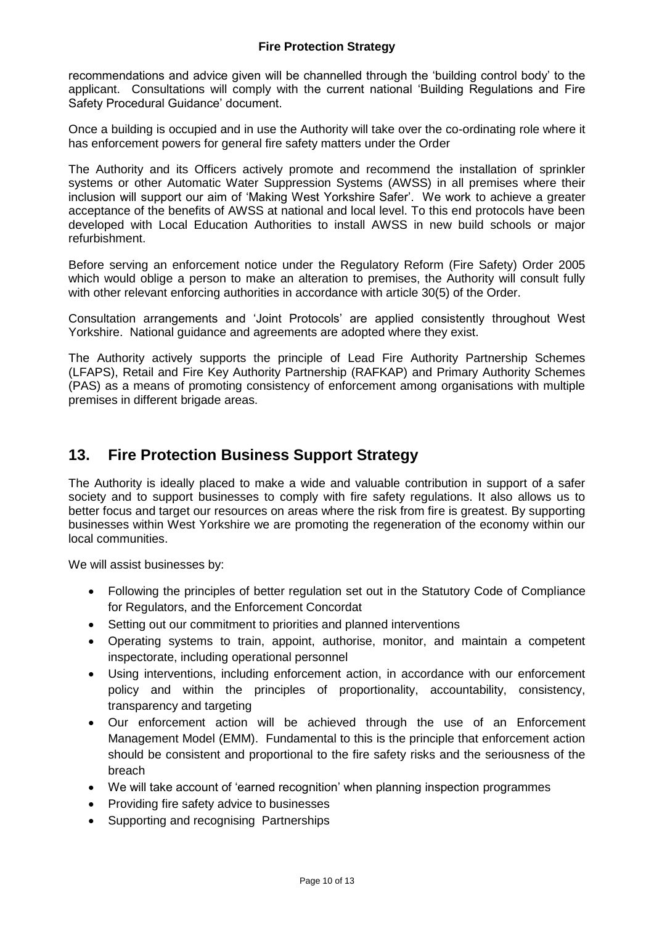#### **Fire Protection Strategy**

recommendations and advice given will be channelled through the 'building control body' to the applicant. Consultations will comply with the current national 'Building Regulations and Fire Safety Procedural Guidance' document.

Once a building is occupied and in use the Authority will take over the co-ordinating role where it has enforcement powers for general fire safety matters under the Order

The Authority and its Officers actively promote and recommend the installation of sprinkler systems or other Automatic Water Suppression Systems (AWSS) in all premises where their inclusion will support our aim of 'Making West Yorkshire Safer'. We work to achieve a greater acceptance of the benefits of AWSS at national and local level. To this end protocols have been developed with Local Education Authorities to install AWSS in new build schools or major refurbishment.

Before serving an enforcement notice under the Regulatory Reform (Fire Safety) Order 2005 which would oblige a person to make an alteration to premises, the Authority will consult fully with other relevant enforcing authorities in accordance with article 30(5) of the Order.

Consultation arrangements and 'Joint Protocols' are applied consistently throughout West Yorkshire. National guidance and agreements are adopted where they exist.

The Authority actively supports the principle of Lead Fire Authority Partnership Schemes (LFAPS), Retail and Fire Key Authority Partnership (RAFKAP) and Primary Authority Schemes (PAS) as a means of promoting consistency of enforcement among organisations with multiple premises in different brigade areas.

## **13. Fire Protection Business Support Strategy**

The Authority is ideally placed to make a wide and valuable contribution in support of a safer society and to support businesses to comply with fire safety regulations. It also allows us to better focus and target our resources on areas where the risk from fire is greatest. By supporting businesses within West Yorkshire we are promoting the regeneration of the economy within our local communities.

We will assist businesses by:

- Following the principles of better regulation set out in the Statutory Code of Compliance for Regulators, and the Enforcement Concordat
- Setting out our commitment to priorities and planned interventions
- Operating systems to train, appoint, authorise, monitor, and maintain a competent inspectorate, including operational personnel
- Using interventions, including enforcement action, in accordance with our enforcement policy and within the principles of proportionality, accountability, consistency, transparency and targeting
- Our enforcement action will be achieved through the use of an Enforcement Management Model (EMM). Fundamental to this is the principle that enforcement action should be consistent and proportional to the fire safety risks and the seriousness of the breach
- We will take account of 'earned recognition' when planning inspection programmes
- Providing fire safety advice to businesses
- Supporting and recognising Partnerships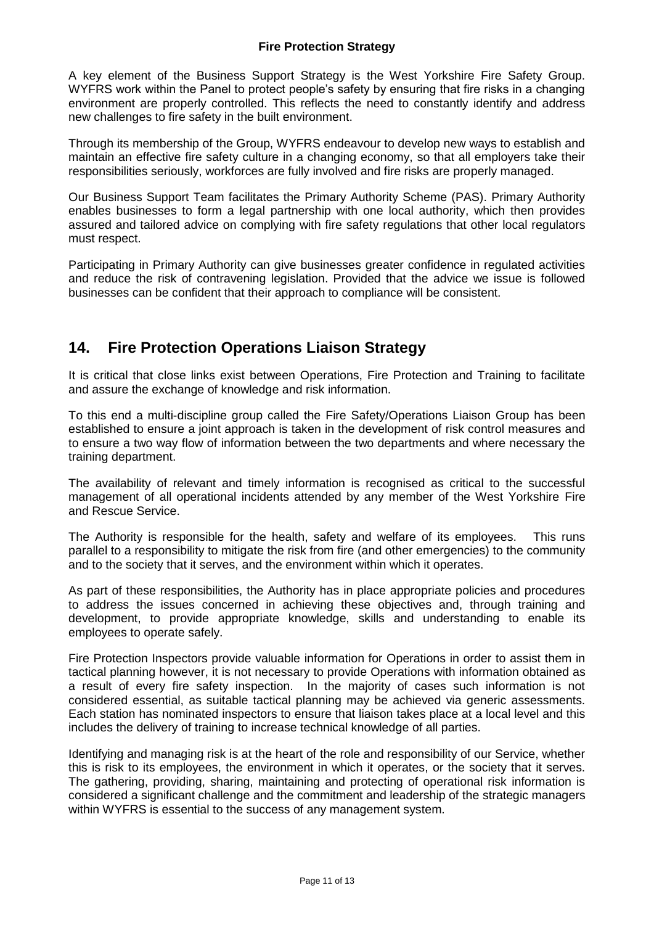#### **Fire Protection Strategy**

A key element of the Business Support Strategy is the West Yorkshire Fire Safety Group. WYFRS work within the Panel to protect people's safety by ensuring that fire risks in a changing environment are properly controlled. This reflects the need to constantly identify and address new challenges to fire safety in the built environment.

Through its membership of the Group, WYFRS endeavour to develop new ways to establish and maintain an effective fire safety culture in a changing economy, so that all employers take their responsibilities seriously, workforces are fully involved and fire risks are properly managed.

Our Business Support Team facilitates the Primary Authority Scheme (PAS). Primary Authority enables businesses to form a legal partnership with one local authority, which then provides assured and tailored advice on complying with fire safety regulations that other local regulators must respect.

Participating in Primary Authority can give businesses greater confidence in regulated activities and reduce the risk of contravening legislation. Provided that the advice we issue is followed businesses can be confident that their approach to compliance will be consistent.

## **14. Fire Protection Operations Liaison Strategy**

It is critical that close links exist between Operations, Fire Protection and Training to facilitate and assure the exchange of knowledge and risk information.

To this end a multi-discipline group called the Fire Safety/Operations Liaison Group has been established to ensure a joint approach is taken in the development of risk control measures and to ensure a two way flow of information between the two departments and where necessary the training department.

The availability of relevant and timely information is recognised as critical to the successful management of all operational incidents attended by any member of the West Yorkshire Fire and Rescue Service.

The Authority is responsible for the health, safety and welfare of its employees. This runs parallel to a responsibility to mitigate the risk from fire (and other emergencies) to the community and to the society that it serves, and the environment within which it operates.

As part of these responsibilities, the Authority has in place appropriate policies and procedures to address the issues concerned in achieving these objectives and, through training and development, to provide appropriate knowledge, skills and understanding to enable its employees to operate safely.

Fire Protection Inspectors provide valuable information for Operations in order to assist them in tactical planning however, it is not necessary to provide Operations with information obtained as a result of every fire safety inspection. In the majority of cases such information is not considered essential, as suitable tactical planning may be achieved via generic assessments. Each station has nominated inspectors to ensure that liaison takes place at a local level and this includes the delivery of training to increase technical knowledge of all parties.

Identifying and managing risk is at the heart of the role and responsibility of our Service, whether this is risk to its employees, the environment in which it operates, or the society that it serves. The gathering, providing, sharing, maintaining and protecting of operational risk information is considered a significant challenge and the commitment and leadership of the strategic managers within WYFRS is essential to the success of any management system.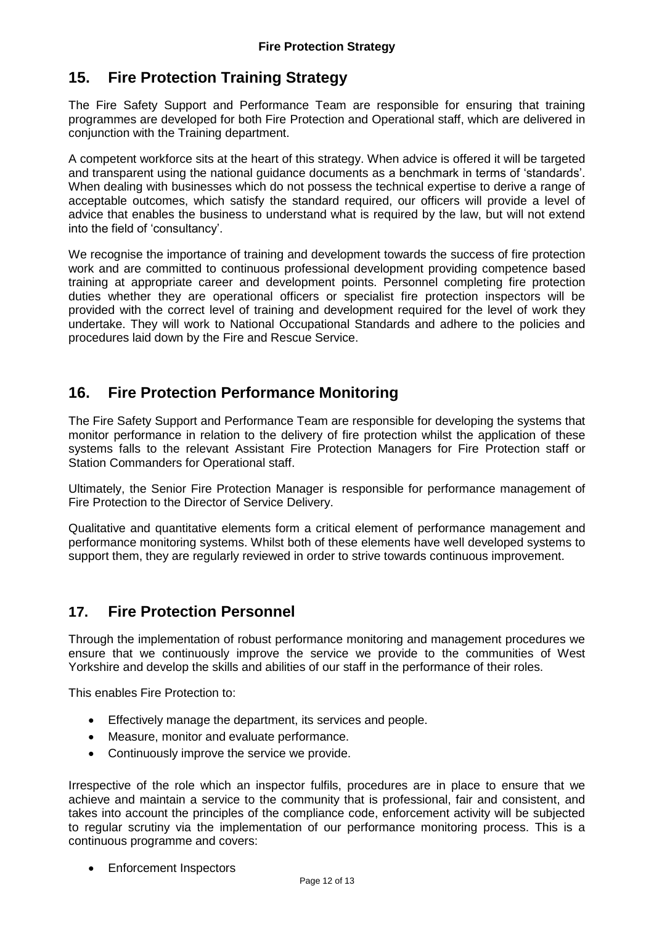## **15. Fire Protection Training Strategy**

The Fire Safety Support and Performance Team are responsible for ensuring that training programmes are developed for both Fire Protection and Operational staff, which are delivered in conjunction with the Training department.

A competent workforce sits at the heart of this strategy. When advice is offered it will be targeted and transparent using the national guidance documents as a benchmark in terms of 'standards'. When dealing with businesses which do not possess the technical expertise to derive a range of acceptable outcomes, which satisfy the standard required, our officers will provide a level of advice that enables the business to understand what is required by the law, but will not extend into the field of 'consultancy'.

We recognise the importance of training and development towards the success of fire protection work and are committed to continuous professional development providing competence based training at appropriate career and development points. Personnel completing fire protection duties whether they are operational officers or specialist fire protection inspectors will be provided with the correct level of training and development required for the level of work they undertake. They will work to National Occupational Standards and adhere to the policies and procedures laid down by the Fire and Rescue Service.

## **16. Fire Protection Performance Monitoring**

The Fire Safety Support and Performance Team are responsible for developing the systems that monitor performance in relation to the delivery of fire protection whilst the application of these systems falls to the relevant Assistant Fire Protection Managers for Fire Protection staff or Station Commanders for Operational staff.

Ultimately, the Senior Fire Protection Manager is responsible for performance management of Fire Protection to the Director of Service Delivery.

Qualitative and quantitative elements form a critical element of performance management and performance monitoring systems. Whilst both of these elements have well developed systems to support them, they are regularly reviewed in order to strive towards continuous improvement.

## **17. Fire Protection Personnel**

Through the implementation of robust performance monitoring and management procedures we ensure that we continuously improve the service we provide to the communities of West Yorkshire and develop the skills and abilities of our staff in the performance of their roles.

This enables Fire Protection to:

- Effectively manage the department, its services and people.
- Measure, monitor and evaluate performance.
- Continuously improve the service we provide.

Irrespective of the role which an inspector fulfils, procedures are in place to ensure that we achieve and maintain a service to the community that is professional, fair and consistent, and takes into account the principles of the compliance code, enforcement activity will be subjected to regular scrutiny via the implementation of our performance monitoring process. This is a continuous programme and covers:

• Enforcement Inspectors